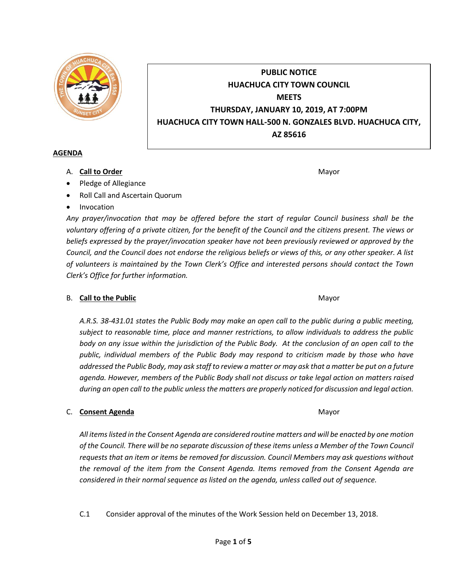

# **PUBLIC NOTICE HUACHUCA CITY TOWN COUNCIL MEETS THURSDAY, JANUARY 10, 2019, AT 7:00PM HUACHUCA CITY TOWN HALL-500 N. GONZALES BLVD. HUACHUCA CITY, AZ 85616**

### **AGENDA**

A. **Call to Order** Mayor **Mayor** Mayor **Mayor** Mayor **Mayor** 

- Pledge of Allegiance
- Roll Call and Ascertain Quorum
- Invocation

*Any prayer/invocation that may be offered before the start of regular Council business shall be the voluntary offering of a private citizen, for the benefit of the Council and the citizens present. The views or beliefs expressed by the prayer/invocation speaker have not been previously reviewed or approved by the Council, and the Council does not endorse the religious beliefs or views of this, or any other speaker. A list of volunteers is maintained by the Town Clerk's Office and interested persons should contact the Town Clerk's Office for further information.*

# B. **Call to the Public** Mayor **Mayor** Mayor **Mayor** Mayor

*A.R.S. 38-431.01 states the Public Body may make an open call to the public during a public meeting, subject to reasonable time, place and manner restrictions, to allow individuals to address the public body on any issue within the jurisdiction of the Public Body. At the conclusion of an open call to the public, individual members of the Public Body may respond to criticism made by those who have addressed the Public Body, may ask staff to review a matter or may ask that a matter be put on a future agenda. However, members of the Public Body shall not discuss or take legal action on matters raised during an open call to the public unless the matters are properly noticed for discussion and legal action.*

# C. **Consent Agenda** Mayor **C. Consent Agenda** Mayor **Mayor**

*All items listed in the Consent Agenda are considered routine matters and will be enacted by one motion of the Council. There will be no separate discussion of these items unless a Member of the Town Council requests that an item or items be removed for discussion. Council Members may ask questions without the removal of the item from the Consent Agenda. Items removed from the Consent Agenda are considered in their normal sequence as listed on the agenda, unless called out of sequence.*

C.1 Consider approval of the minutes of the Work Session held on December 13, 2018.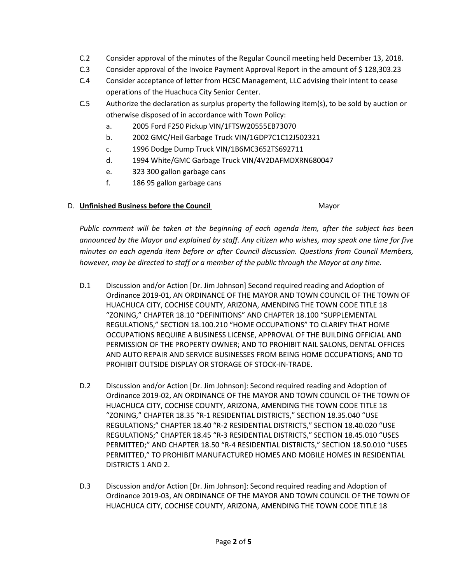- C.2 Consider approval of the minutes of the Regular Council meeting held December 13, 2018.
- C.3 Consider approval of the Invoice Payment Approval Report in the amount of \$ 128,303.23
- C.4 Consider acceptance of letter from HCSC Management, LLC advising their intent to cease operations of the Huachuca City Senior Center.
- C.5 Authorize the declaration as surplus property the following item(s), to be sold by auction or otherwise disposed of in accordance with Town Policy:
	- a. 2005 Ford F250 Pickup VIN/1FTSW20555EB73070
	- b. 2002 GMC/Heil Garbage Truck VIN/1GDP7C1C12J502321
	- c. 1996 Dodge Dump Truck VIN/1B6MC3652TS692711
	- d. 1994 White/GMC Garbage Truck VIN/4V2DAFMDXRN680047
	- e. 323 300 gallon garbage cans
	- f. 186 95 gallon garbage cans

### D. **Unfinished Business before the Council** Mayor

*Public comment will be taken at the beginning of each agenda item, after the subject has been announced by the Mayor and explained by staff. Any citizen who wishes, may speak one time for five minutes on each agenda item before or after Council discussion. Questions from Council Members, however, may be directed to staff or a member of the public through the Mayor at any time.*

- D.1 Discussion and/or Action [Dr. Jim Johnson] Second required reading and Adoption of Ordinance 2019-01, AN ORDINANCE OF THE MAYOR AND TOWN COUNCIL OF THE TOWN OF HUACHUCA CITY, COCHISE COUNTY, ARIZONA, AMENDING THE TOWN CODE TITLE 18 "ZONING," CHAPTER 18.10 "DEFINITIONS" AND CHAPTER 18.100 "SUPPLEMENTAL REGULATIONS," SECTION 18.100.210 "HOME OCCUPATIONS" TO CLARIFY THAT HOME OCCUPATIONS REQUIRE A BUSINESS LICENSE, APPROVAL OF THE BUILDING OFFICIAL AND PERMISSION OF THE PROPERTY OWNER; AND TO PROHIBIT NAIL SALONS, DENTAL OFFICES AND AUTO REPAIR AND SERVICE BUSINESSES FROM BEING HOME OCCUPATIONS; AND TO PROHIBIT OUTSIDE DISPLAY OR STORAGE OF STOCK-IN-TRADE.
- D.2 Discussion and/or Action [Dr. Jim Johnson]: Second required reading and Adoption of Ordinance 2019-02, AN ORDINANCE OF THE MAYOR AND TOWN COUNCIL OF THE TOWN OF HUACHUCA CITY, COCHISE COUNTY, ARIZONA, AMENDING THE TOWN CODE TITLE 18 "ZONING," CHAPTER 18.35 "R-1 RESIDENTIAL DISTRICTS," SECTION 18.35.040 "USE REGULATIONS;" CHAPTER 18.40 "R-2 RESIDENTIAL DISTRICTS," SECTION 18.40.020 "USE REGULATIONS;" CHAPTER 18.45 "R-3 RESIDENTIAL DISTRICTS," SECTION 18.45.010 "USES PERMITTED;" AND CHAPTER 18.50 "R-4 RESIDENTIAL DISTRICTS," SECTION 18.50.010 "USES PERMITTED," TO PROHIBIT MANUFACTURED HOMES AND MOBILE HOMES IN RESIDENTIAL DISTRICTS 1 AND 2.
- D.3 Discussion and/or Action [Dr. Jim Johnson]: Second required reading and Adoption of Ordinance 2019-03, AN ORDINANCE OF THE MAYOR AND TOWN COUNCIL OF THE TOWN OF HUACHUCA CITY, COCHISE COUNTY, ARIZONA, AMENDING THE TOWN CODE TITLE 18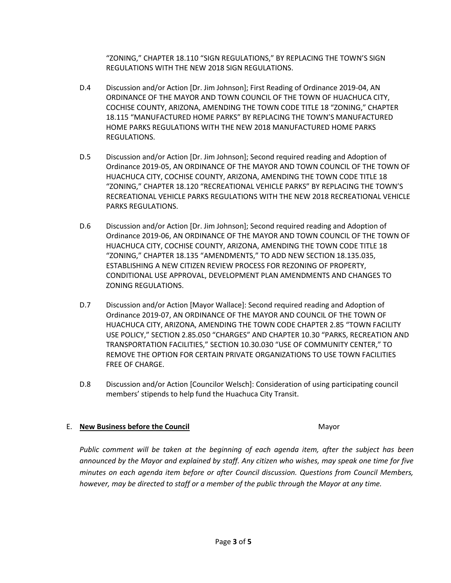"ZONING," CHAPTER 18.110 "SIGN REGULATIONS," BY REPLACING THE TOWN'S SIGN REGULATIONS WITH THE NEW 2018 SIGN REGULATIONS.

- D.4 Discussion and/or Action [Dr. Jim Johnson]; First Reading of Ordinance 2019-04, AN ORDINANCE OF THE MAYOR AND TOWN COUNCIL OF THE TOWN OF HUACHUCA CITY, COCHISE COUNTY, ARIZONA, AMENDING THE TOWN CODE TITLE 18 "ZONING," CHAPTER 18.115 "MANUFACTURED HOME PARKS" BY REPLACING THE TOWN'S MANUFACTURED HOME PARKS REGULATIONS WITH THE NEW 2018 MANUFACTURED HOME PARKS REGULATIONS.
- D.5 Discussion and/or Action [Dr. Jim Johnson]; Second required reading and Adoption of Ordinance 2019-05, AN ORDINANCE OF THE MAYOR AND TOWN COUNCIL OF THE TOWN OF HUACHUCA CITY, COCHISE COUNTY, ARIZONA, AMENDING THE TOWN CODE TITLE 18 "ZONING," CHAPTER 18.120 "RECREATIONAL VEHICLE PARKS" BY REPLACING THE TOWN'S RECREATIONAL VEHICLE PARKS REGULATIONS WITH THE NEW 2018 RECREATIONAL VEHICLE PARKS REGULATIONS.
- D.6 Discussion and/or Action [Dr. Jim Johnson]; Second required reading and Adoption of Ordinance 2019-06, AN ORDINANCE OF THE MAYOR AND TOWN COUNCIL OF THE TOWN OF HUACHUCA CITY, COCHISE COUNTY, ARIZONA, AMENDING THE TOWN CODE TITLE 18 "ZONING," CHAPTER 18.135 "AMENDMENTS," TO ADD NEW SECTION 18.135.035, ESTABLISHING A NEW CITIZEN REVIEW PROCESS FOR REZONING OF PROPERTY, CONDITIONAL USE APPROVAL, DEVELOPMENT PLAN AMENDMENTS AND CHANGES TO ZONING REGULATIONS.
- D.7 Discussion and/or Action [Mayor Wallace]: Second required reading and Adoption of Ordinance 2019-07, AN ORDINANCE OF THE MAYOR AND COUNCIL OF THE TOWN OF HUACHUCA CITY, ARIZONA, AMENDING THE TOWN CODE CHAPTER 2.85 "TOWN FACILITY USE POLICY," SECTION 2.85.050 "CHARGES" AND CHAPTER 10.30 "PARKS, RECREATION AND TRANSPORTATION FACILITIES," SECTION 10.30.030 "USE OF COMMUNITY CENTER," TO REMOVE THE OPTION FOR CERTAIN PRIVATE ORGANIZATIONS TO USE TOWN FACILITIES FREE OF CHARGE.
- D.8 Discussion and/or Action [Councilor Welsch]: Consideration of using participating council members' stipends to help fund the Huachuca City Transit.

# E. **New Business before the Council** Mayor

*Public comment will be taken at the beginning of each agenda item, after the subject has been announced by the Mayor and explained by staff. Any citizen who wishes, may speak one time for five minutes on each agenda item before or after Council discussion. Questions from Council Members, however, may be directed to staff or a member of the public through the Mayor at any time.*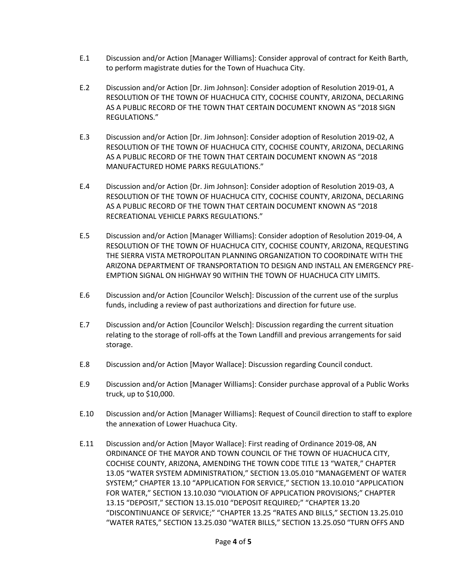- E.1 Discussion and/or Action [Manager Williams]: Consider approval of contract for Keith Barth, to perform magistrate duties for the Town of Huachuca City.
- E.2 Discussion and/or Action [Dr. Jim Johnson]: Consider adoption of Resolution 2019-01, A RESOLUTION OF THE TOWN OF HUACHUCA CITY, COCHISE COUNTY, ARIZONA, DECLARING AS A PUBLIC RECORD OF THE TOWN THAT CERTAIN DOCUMENT KNOWN AS "2018 SIGN REGULATIONS."
- E.3 Discussion and/or Action [Dr. Jim Johnson]: Consider adoption of Resolution 2019-02, A RESOLUTION OF THE TOWN OF HUACHUCA CITY, COCHISE COUNTY, ARIZONA, DECLARING AS A PUBLIC RECORD OF THE TOWN THAT CERTAIN DOCUMENT KNOWN AS "2018 MANUFACTURED HOME PARKS REGULATIONS."
- E.4 Discussion and/or Action {Dr. Jim Johnson]: Consider adoption of Resolution 2019-03, A RESOLUTION OF THE TOWN OF HUACHUCA CITY, COCHISE COUNTY, ARIZONA, DECLARING AS A PUBLIC RECORD OF THE TOWN THAT CERTAIN DOCUMENT KNOWN AS "2018 RECREATIONAL VEHICLE PARKS REGULATIONS."
- E.5 Discussion and/or Action [Manager Williams]: Consider adoption of Resolution 2019-04, A RESOLUTION OF THE TOWN OF HUACHUCA CITY, COCHISE COUNTY, ARIZONA, REQUESTING THE SIERRA VISTA METROPOLITAN PLANNING ORGANIZATION TO COORDINATE WITH THE ARIZONA DEPARTMENT OF TRANSPORTATION TO DESIGN AND INSTALL AN EMERGENCY PRE-EMPTION SIGNAL ON HIGHWAY 90 WITHIN THE TOWN OF HUACHUCA CITY LIMITS.
- E.6 Discussion and/or Action [Councilor Welsch]: Discussion of the current use of the surplus funds, including a review of past authorizations and direction for future use.
- E.7 Discussion and/or Action [Councilor Welsch]: Discussion regarding the current situation relating to the storage of roll-offs at the Town Landfill and previous arrangements for said storage.
- E.8 Discussion and/or Action [Mayor Wallace]: Discussion regarding Council conduct.
- E.9 Discussion and/or Action [Manager Williams]: Consider purchase approval of a Public Works truck, up to \$10,000.
- E.10 Discussion and/or Action [Manager Williams]: Request of Council direction to staff to explore the annexation of Lower Huachuca City.
- E.11 Discussion and/or Action [Mayor Wallace]: First reading of Ordinance 2019-08, AN ORDINANCE OF THE MAYOR AND TOWN COUNCIL OF THE TOWN OF HUACHUCA CITY, COCHISE COUNTY, ARIZONA, AMENDING THE TOWN CODE TITLE 13 "WATER," CHAPTER 13.05 "WATER SYSTEM ADMINISTRATION," SECTION 13.05.010 "MANAGEMENT OF WATER SYSTEM;" CHAPTER 13.10 "APPLICATION FOR SERVICE," SECTION 13.10.010 "APPLICATION FOR WATER," SECTION 13.10.030 "VIOLATION OF APPLICATION PROVISIONS;" CHAPTER 13.15 "DEPOSIT," SECTION 13.15.010 "DEPOSIT REQUIRED;" "CHAPTER 13.20 "DISCONTINUANCE OF SERVICE;" "CHAPTER 13.25 "RATES AND BILLS," SECTION 13.25.010 "WATER RATES," SECTION 13.25.030 "WATER BILLS," SECTION 13.25.050 "TURN OFFS AND